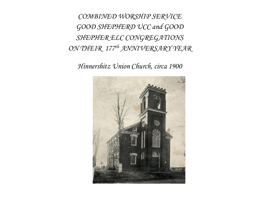*COMBINED WORSHIP SERVICE GOOD SHEPHERD UCC and GOOD SHEPHER ELC CONGREGATIONS ON THEIR 177th ANNIVERSARY YEAR*

*Hinnershitz Union Church, circa 1900*

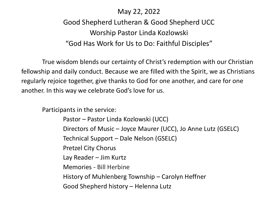# May 22, 2022

# Good Shepherd Lutheran & Good Shepherd UCC Worship Pastor Linda Kozlowski "God Has Work for Us to Do: Faithful Disciples"

True wisdom blends our certainty of Christ's redemption with our Christian fellowship and daily conduct. Because we are filled with the Spirit, we as Christians regularly rejoice together, give thanks to God for one another, and care for one another. In this way we celebrate God's love for us.

Participants in the service:

Pastor – Pastor Linda Kozlowski (UCC) Directors of Music – Joyce Maurer (UCC), Jo Anne Lutz (GSELC) Technical Support – Dale Nelson (GSELC) Pretzel City Chorus Lay Reader – Jim Kurtz Memories - Bill Herbine History of Muhlenberg Township – Carolyn Heffner Good Shepherd history – Helenna Lutz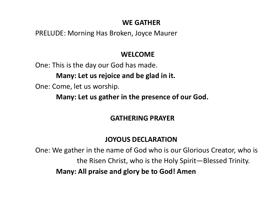# **WE GATHER**

PRELUDE: Morning Has Broken, Joyce Maurer

# **WELCOME**

One: This is the day our God has made.

**Many: Let us rejoice and be glad in it.** 

One: Come, let us worship.

**Many: Let us gather in the presence of our God.** 

# **GATHERING PRAYER**

# **JOYOUS DECLARATION**

One: We gather in the name of God who is our Glorious Creator, who is the Risen Christ, who is the Holy Spirit—Blessed Trinity. **Many: All praise and glory be to God! Amen**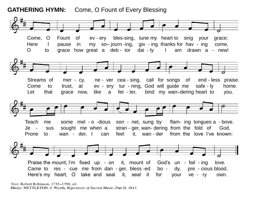#### **GATHERING HYMN:** Come, O Fount of Every Blessing



Text: Robert Robinson, 1735-1790, alt. Music: NETTLETON, J. Wyeth, Repository of Sacred Music, Part II, 1813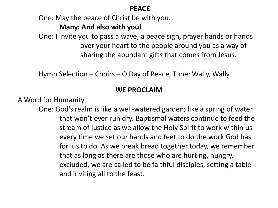#### **PEACE**

One: May the peace of Christ be with you.

#### **Many: And also with you!**

One: I invite you to pass a wave, a peace sign, prayer hands or hands over your heart to the people around you as a way of sharing the abundant gifts that comes from Jesus.

Hymn Selection – Choirs – O Day of Peace, Tune: Wally, Wally

# **WE PROCLAIM**

A Word for Humanity

One: God's realm is like a well-watered garden; like a spring of water that won't ever run dry. Baptismal waters continue to feed the stream of justice as we allow the Holy Spirit to work within us every time we set our hands and feet to do the work God has for us to do. As we break bread together today, we remember that as long as there are those who are hurting, hungry, excluded, we are called to be faithful disciples, setting a table and inviting all to the feast.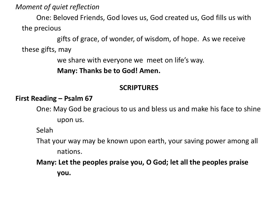*Moment of quiet reflection* 

One: Beloved Friends, God loves us, God created us, God fills us with the precious

gifts of grace, of wonder, of wisdom, of hope. As we receive these gifts, may

we share with everyone we meet on life's way.

**Many: Thanks be to God! Amen.** 

# **SCRIPTURES**

#### **First Reading – Psalm 67**

One: May God be gracious to us and bless us and make his face to shine upon us.

Selah

That your way may be known upon earth, your saving power among all nations.

**Many: Let the peoples praise you, O God; let all the peoples praise you.**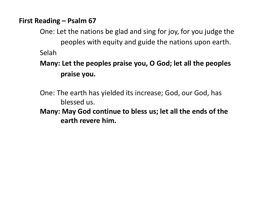### **First Reading – Psalm 67**

One: Let the nations be glad and sing for joy, for you judge the peoples with equity and guide the nations upon earth. Selah

# **Many: Let the peoples praise you, O God; let all the peoples praise you.**

One: The earth has yielded its increase; God, our God, has blessed us. **Many: May God continue to bless us; let all the ends of the earth revere him.**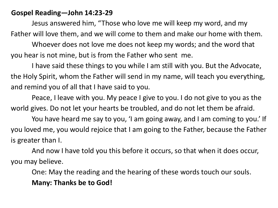#### **Gospel Reading—John 14:23-29**

Jesus answered him, "Those who love me will keep my word, and my Father will love them, and we will come to them and make our home with them. Whoever does not love me does not keep my words; and the word that you hear is not mine, but is from the Father who sent me.

I have said these things to you while I am still with you. But the Advocate, the Holy Spirit, whom the Father will send in my name, will teach you everything, and remind you of all that I have said to you.

Peace, I leave with you. My peace I give to you. I do not give to you as the world gives. Do not let your hearts be troubled, and do not let them be afraid.

You have heard me say to you, 'I am going away, and I am coming to you.' If you loved me, you would rejoice that I am going to the Father, because the Father is greater than I.

And now I have told you this before it occurs, so that when it does occur, you may believe.

One: May the reading and the hearing of these words touch our souls. **Many: Thanks be to God!**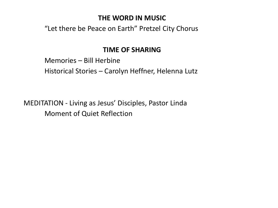### **THE WORD IN MUSIC**

"Let there be Peace on Earth" Pretzel City Chorus

# **TIME OF SHARING**

Memories – Bill Herbine Historical Stories – Carolyn Heffner, Helenna Lutz

MEDITATION - Living as Jesus' Disciples, Pastor Linda Moment of Quiet Reflection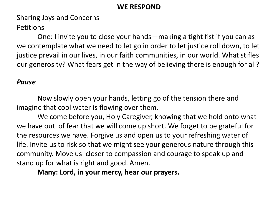#### **WE RESPOND**

Sharing Joys and Concerns

**Petitions** 

One: I invite you to close your hands—making a tight fist if you can as we contemplate what we need to let go in order to let justice roll down, to let justice prevail in our lives, in our faith communities, in our world. What stifles our generosity? What fears get in the way of believing there is enough for all?

#### *Pause*

Now slowly open your hands, letting go of the tension there and imagine that cool water is flowing over them.

We come before you, Holy Caregiver, knowing that we hold onto what we have out of fear that we will come up short. We forget to be grateful for the resources we have. Forgive us and open us to your refreshing water of life. Invite us to risk so that we might see your generous nature through this community. Move us closer to compassion and courage to speak up and stand up for what is right and good. Amen.

**Many: Lord, in your mercy, hear our prayers.**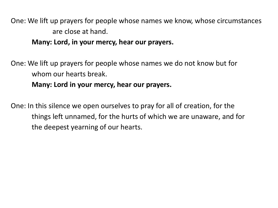One: We lift up prayers for people whose names we know, whose circumstances are close at hand.

**Many: Lord, in your mercy, hear our prayers.** 

One: We lift up prayers for people whose names we do not know but for whom our hearts break.

#### **Many: Lord in your mercy, hear our prayers.**

One: In this silence we open ourselves to pray for all of creation, for the things left unnamed, for the hurts of which we are unaware, and for the deepest yearning of our hearts.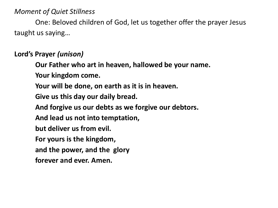### *Moment of Quiet Stillness*

One: Beloved children of God, let us together offer the prayer Jesus taught us saying…

### **Lord's Prayer** *(unison)*

**Our Father who art in heaven, hallowed be your name. Your kingdom come. Your will be done, on earth as it is in heaven. Give us this day our daily bread. And forgive us our debts as we forgive our debtors. And lead us not into temptation, but deliver us from evil. For yours is the kingdom, and the power, and the glory forever and ever. Amen.**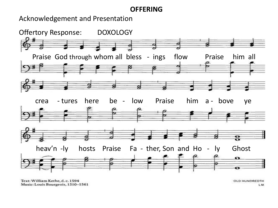#### **OFFERING**

Acknowledgement and Presentation



Text: William Kethe, d. c. 1594 Music: Louis Bourgeois, 1510-1561

OLD HUNDREDTH LM.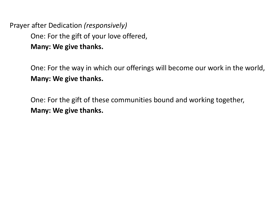Prayer after Dedication *(responsively)*  One: For the gift of your love offered, **Many: We give thanks.** 

> One: For the way in which our offerings will become our work in the world, **Many: We give thanks.**

One: For the gift of these communities bound and working together, **Many: We give thanks.**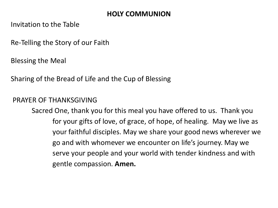# **HOLY COMMUNION**

Invitation to the Table

Re-Telling the Story of our Faith

Blessing the Meal

Sharing of the Bread of Life and the Cup of Blessing

### PRAYER OF THANKSGIVING

Sacred One, thank you for this meal you have offered to us. Thank you for your gifts of love, of grace, of hope, of healing. May we live as your faithful disciples. May we share your good news wherever we go and with whomever we encounter on life's journey. May we serve your people and your world with tender kindness and with gentle compassion. **Amen.**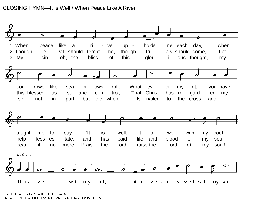#### CLOSING HYMN—It is Well / When Peace Like A River



Text: Horatio G. Spafford, 1828-1888 Music: VILLA DU HAVRE, Philip P. Bliss, 1838-1876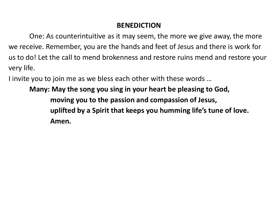## **BENEDICTION**

One: As counterintuitive as it may seem, the more we give away, the more we receive. Remember, you are the hands and feet of Jesus and there is work for us to do! Let the call to mend brokenness and restore ruins mend and restore your very life.

I invite you to join me as we bless each other with these words …

**Many: May the song you sing in your heart be pleasing to God, moving you to the passion and compassion of Jesus, uplifted by a Spirit that keeps you humming life's tune of love. Amen.**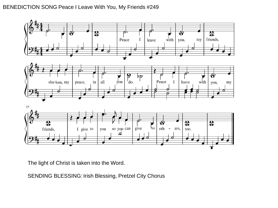#### BENEDICTION SONG Peace I Leave With You, My Friends #249



The light of Christ is taken into the Word.

SENDING BLESSING: Irish Blessing, Pretzel City Chorus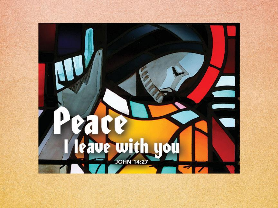